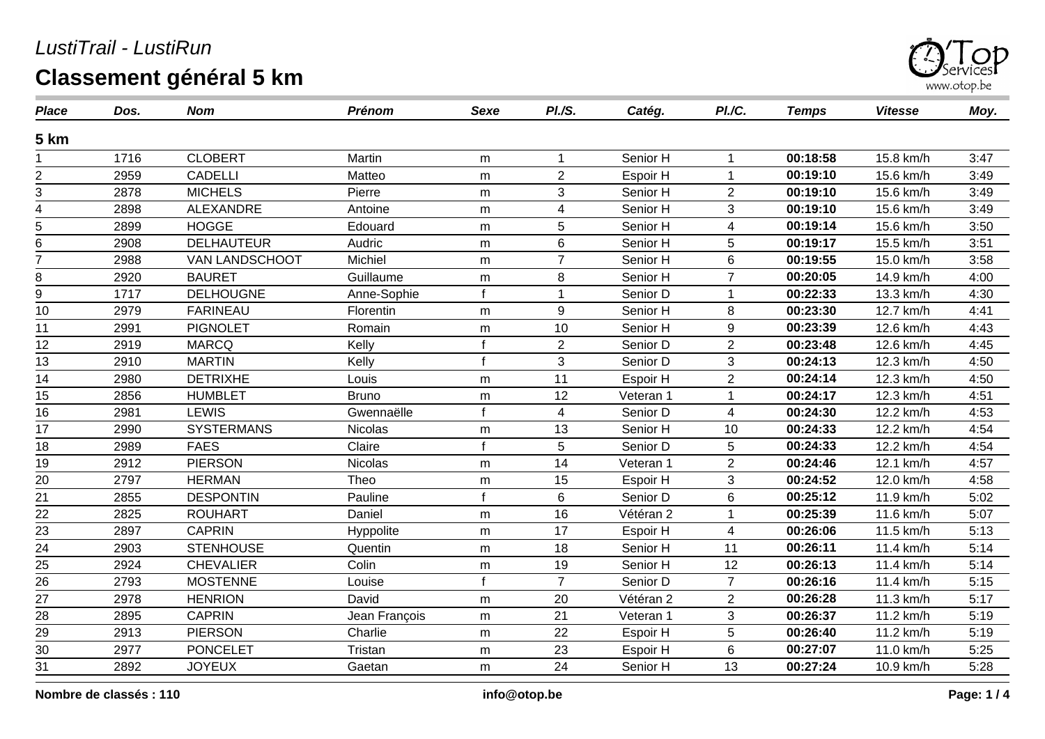

| <b>Place</b>    | Dos. | <b>Nom</b>        | <b>Prénom</b> | <b>Sexe</b>  | PI.S.          | Catég.    | PI./C.         | <b>Temps</b> | <b>Vitesse</b> | Moy. |
|-----------------|------|-------------------|---------------|--------------|----------------|-----------|----------------|--------------|----------------|------|
| 5 km            |      |                   |               |              |                |           |                |              |                |      |
|                 | 1716 | <b>CLOBERT</b>    | Martin        | m            | 1              | Senior H  |                | 00:18:58     | 15.8 km/h      | 3:47 |
| $\overline{c}$  | 2959 | <b>CADELLI</b>    | Matteo        | m            | $\overline{2}$ | Espoir H  |                | 00:19:10     | 15.6 km/h      | 3:49 |
| 3               | 2878 | <b>MICHELS</b>    | Pierre        | m            | 3              | Senior H  | $\overline{2}$ | 00:19:10     | 15.6 km/h      | 3:49 |
| 4               | 2898 | ALEXANDRE         | Antoine       | m            | 4              | Senior H  | 3              | 00:19:10     | 15.6 km/h      | 3:49 |
| 5               | 2899 | <b>HOGGE</b>      | Edouard       | m            | 5              | Senior H  | 4              | 00:19:14     | 15.6 km/h      | 3:50 |
| 6               | 2908 | <b>DELHAUTEUR</b> | Audric        | m            | 6              | Senior H  | 5              | 00:19:17     | 15.5 km/h      | 3:51 |
| $\overline{7}$  | 2988 | VAN LANDSCHOOT    | Michiel       | m            | $\overline{7}$ | Senior H  | 6              | 00:19:55     | 15.0 km/h      | 3:58 |
| 8               | 2920 | <b>BAURET</b>     | Guillaume     | m            | 8              | Senior H  | $\overline{7}$ | 00:20:05     | 14.9 km/h      | 4:00 |
| $\overline{9}$  | 1717 | <b>DELHOUGNE</b>  | Anne-Sophie   | $\mathbf{f}$ | $\mathbf{1}$   | Senior D  | $\mathbf{1}$   | 00:22:33     | 13.3 km/h      | 4:30 |
| 10              | 2979 | <b>FARINEAU</b>   | Florentin     | m            | 9              | Senior H  | 8              | 00:23:30     | 12.7 km/h      | 4:41 |
| 11              | 2991 | <b>PIGNOLET</b>   | Romain        | m            | 10             | Senior H  | 9              | 00:23:39     | 12.6 km/h      | 4:43 |
| 12              | 2919 | <b>MARCQ</b>      | Kelly         | $\mathbf f$  | $\overline{2}$ | Senior D  | $\overline{2}$ | 00:23:48     | 12.6 km/h      | 4:45 |
| 13              | 2910 | <b>MARTIN</b>     | Kelly         |              | 3              | Senior D  | 3              | 00:24:13     | 12.3 km/h      | 4:50 |
| 14              | 2980 | <b>DETRIXHE</b>   | Louis         | m            | 11             | Espoir H  | $\overline{2}$ | 00:24:14     | 12.3 km/h      | 4:50 |
| 15              | 2856 | <b>HUMBLET</b>    | <b>Bruno</b>  | m            | 12             | Veteran 1 | 1              | 00:24:17     | 12.3 km/h      | 4:51 |
| 16              | 2981 | <b>LEWIS</b>      | Gwennaëlle    | $\mathbf{f}$ | 4              | Senior D  | 4              | 00:24:30     | 12.2 km/h      | 4:53 |
| 17              | 2990 | <b>SYSTERMANS</b> | Nicolas       | ${\sf m}$    | 13             | Senior H  | 10             | 00:24:33     | 12.2 km/h      | 4:54 |
| 18              | 2989 | <b>FAES</b>       | Claire        | $\mathbf f$  | 5              | Senior D  | 5              | 00:24:33     | 12.2 km/h      | 4:54 |
| 19              | 2912 | <b>PIERSON</b>    | Nicolas       | ${\sf m}$    | 14             | Veteran 1 | $\overline{2}$ | 00:24:46     | 12.1 km/h      | 4:57 |
| 20              | 2797 | <b>HERMAN</b>     | Theo          | m            | 15             | Espoir H  | 3              | 00:24:52     | 12.0 km/h      | 4:58 |
| $\overline{21}$ | 2855 | <b>DESPONTIN</b>  | Pauline       | $\epsilon$   | 6              | Senior D  | 6              | 00:25:12     | 11.9 km/h      | 5:02 |
| $\frac{22}{23}$ | 2825 | <b>ROUHART</b>    | Daniel        | m            | 16             | Vétéran 2 |                | 00:25:39     | 11.6 km/h      | 5:07 |
|                 | 2897 | <b>CAPRIN</b>     | Hyppolite     | m            | 17             | Espoir H  | 4              | 00:26:06     | 11.5 km/h      | 5:13 |
| 24              | 2903 | <b>STENHOUSE</b>  | Quentin       | m            | 18             | Senior H  | 11             | 00:26:11     | 11.4 km/h      | 5:14 |
| 25              | 2924 | <b>CHEVALIER</b>  | Colin         | m            | 19             | Senior H  | 12             | 00:26:13     | 11.4 km/h      | 5:14 |
| $\overline{26}$ | 2793 | <b>MOSTENNE</b>   | Louise        | $\mathbf f$  | $\overline{7}$ | Senior D  | $\overline{7}$ | 00:26:16     | 11.4 km/h      | 5:15 |
| 27              | 2978 | <b>HENRION</b>    | David         | m            | 20             | Vétéran 2 | $\overline{2}$ | 00:26:28     | 11.3 km/h      | 5:17 |
| $\overline{28}$ | 2895 | <b>CAPRIN</b>     | Jean François | ${\sf m}$    | 21             | Veteran 1 | 3              | 00:26:37     | 11.2 km/h      | 5:19 |
| $\frac{29}{30}$ | 2913 | <b>PIERSON</b>    | Charlie       | m            | 22             | Espoir H  | 5              | 00:26:40     | 11.2 km/h      | 5:19 |
|                 | 2977 | <b>PONCELET</b>   | Tristan       | m            | 23             | Espoir H  | 6              | 00:27:07     | 11.0 km/h      | 5:25 |
| 31              | 2892 | <b>JOYEUX</b>     | Gaetan        | m            | 24             | Senior H  | 13             | 00:27:24     | 10.9 km/h      | 5:28 |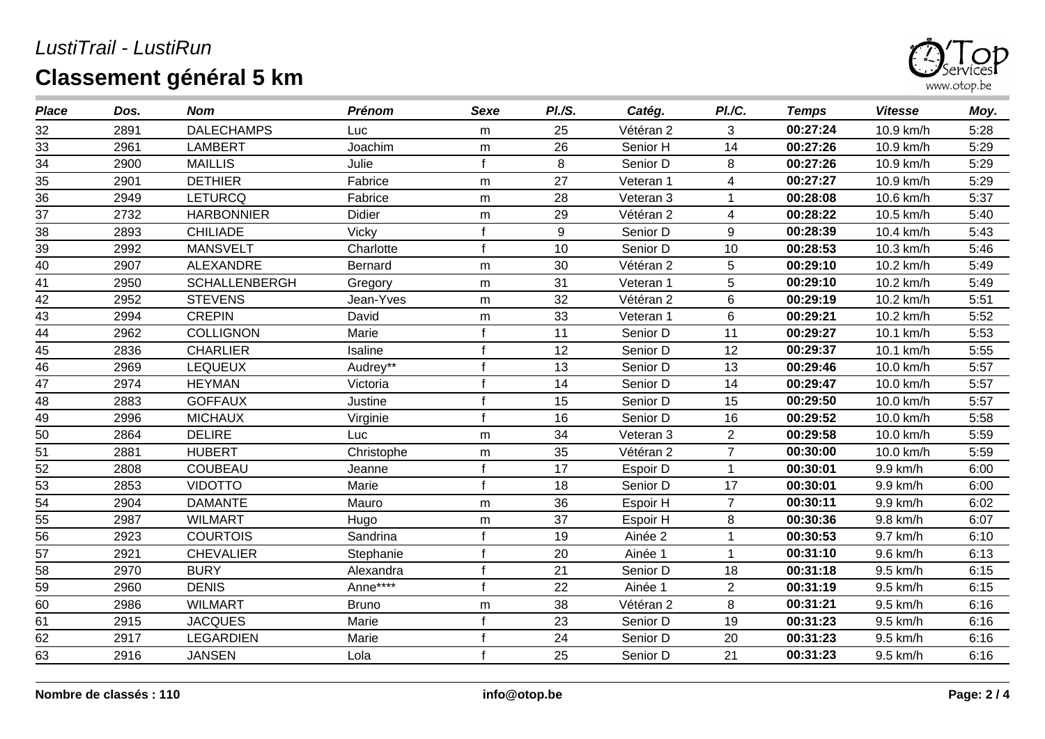

| <b>Place</b>    | Dos. | <b>Nom</b>           | <b>Prénom</b> | Sexe         | PI.S. | Catég.    | PI.C.          | <b>Temps</b> | <b>Vitesse</b> | Moy. |
|-----------------|------|----------------------|---------------|--------------|-------|-----------|----------------|--------------|----------------|------|
| 32              | 2891 | <b>DALECHAMPS</b>    | Luc           | m            | 25    | Vétéran 2 | 3              | 00:27:24     | 10.9 km/h      | 5:28 |
| 33              | 2961 | <b>LAMBERT</b>       | Joachim       | m            | 26    | Senior H  | 14             | 00:27:26     | 10.9 km/h      | 5:29 |
| $\overline{34}$ | 2900 | <b>MAILLIS</b>       | Julie         |              | 8     | Senior D  | 8              | 00:27:26     | 10.9 km/h      | 5:29 |
| 35              | 2901 | <b>DETHIER</b>       | Fabrice       | m            | 27    | Veteran 1 | 4              | 00:27:27     | 10.9 km/h      | 5:29 |
| 36              | 2949 | <b>LETURCQ</b>       | Fabrice       | m            | 28    | Veteran 3 |                | 00:28:08     | 10.6 km/h      | 5:37 |
| 37              | 2732 | <b>HARBONNIER</b>    | Didier        | m            | 29    | Vétéran 2 | 4              | 00:28:22     | 10.5 km/h      | 5:40 |
| 38              | 2893 | <b>CHILIADE</b>      | Vicky         |              | 9     | Senior D  | 9              | 00:28:39     | 10.4 km/h      | 5:43 |
| 39              | 2992 | <b>MANSVELT</b>      | Charlotte     | $\mathsf{f}$ | 10    | Senior D  | 10             | 00:28:53     | 10.3 km/h      | 5:46 |
| 40              | 2907 | <b>ALEXANDRE</b>     | Bernard       | m            | 30    | Vétéran 2 | 5              | 00:29:10     | 10.2 km/h      | 5:49 |
| 41              | 2950 | <b>SCHALLENBERGH</b> | Gregory       | m            | 31    | Veteran 1 | 5              | 00:29:10     | 10.2 km/h      | 5:49 |
| $\overline{42}$ | 2952 | <b>STEVENS</b>       | Jean-Yves     | m            | 32    | Vétéran 2 | $6\phantom{1}$ | 00:29:19     | 10.2 km/h      | 5:51 |
| 43              | 2994 | <b>CREPIN</b>        | David         | m            | 33    | Veteran 1 | 6              | 00:29:21     | 10.2 km/h      | 5:52 |
| 44              | 2962 | <b>COLLIGNON</b>     | Marie         |              | 11    | Senior D  | 11             | 00:29:27     | 10.1 km/h      | 5:53 |
| 45              | 2836 | <b>CHARLIER</b>      | Isaline       | f            | 12    | Senior D  | 12             | 00:29:37     | 10.1 km/h      | 5:55 |
| 46              | 2969 | <b>LEQUEUX</b>       | Audrey**      |              | 13    | Senior D  | 13             | 00:29:46     | 10.0 km/h      | 5:57 |
| 47              | 2974 | <b>HEYMAN</b>        | Victoria      | f            | 14    | Senior D  | 14             | 00:29:47     | 10.0 km/h      | 5:57 |
| 48              | 2883 | <b>GOFFAUX</b>       | Justine       |              | 15    | Senior D  | 15             | 00:29:50     | 10.0 km/h      | 5:57 |
| 49              | 2996 | <b>MICHAUX</b>       | Virginie      | $\mathsf{f}$ | 16    | Senior D  | 16             | 00:29:52     | 10.0 km/h      | 5:58 |
| 50              | 2864 | <b>DELIRE</b>        | Luc           | m            | 34    | Veteran 3 | $\overline{2}$ | 00:29:58     | 10.0 km/h      | 5:59 |
| 51              | 2881 | <b>HUBERT</b>        | Christophe    | m            | 35    | Vétéran 2 | $\overline{7}$ | 00:30:00     | 10.0 km/h      | 5:59 |
| 52              | 2808 | <b>COUBEAU</b>       | Jeanne        |              | 17    | Espoir D  |                | 00:30:01     | 9.9 km/h       | 6:00 |
| 53              | 2853 | <b>VIDOTTO</b>       | Marie         | $\mathbf{f}$ | 18    | Senior D  | 17             | 00:30:01     | 9.9 km/h       | 6:00 |
| $\overline{54}$ | 2904 | <b>DAMANTE</b>       | Mauro         | m            | 36    | Espoir H  | $\overline{7}$ | 00:30:11     | 9.9 km/h       | 6:02 |
| 55              | 2987 | <b>WILMART</b>       | Hugo          | m            | 37    | Espoir H  | 8              | 00:30:36     | 9.8 km/h       | 6:07 |
| 56              | 2923 | <b>COURTOIS</b>      | Sandrina      | f            | 19    | Ainée 2   |                | 00:30:53     | 9.7 km/h       | 6:10 |
| 57              | 2921 | <b>CHEVALIER</b>     | Stephanie     | $\mathbf{f}$ | 20    | Ainée 1   | 1              | 00:31:10     | 9.6 km/h       | 6:13 |
| 58              | 2970 | <b>BURY</b>          | Alexandra     | f            | 21    | Senior D  | 18             | 00:31:18     | 9.5 km/h       | 6:15 |
| 59              | 2960 | <b>DENIS</b>         | Anne****      | $\mathbf{f}$ | 22    | Ainée 1   | $\overline{2}$ | 00:31:19     | 9.5 km/h       | 6:15 |
| 60              | 2986 | <b>WILMART</b>       | <b>Bruno</b>  | m            | 38    | Vétéran 2 | 8              | 00:31:21     | 9.5 km/h       | 6:16 |
| 61              | 2915 | <b>JACQUES</b>       | Marie         | f            | 23    | Senior D  | 19             | 00:31:23     | 9.5 km/h       | 6:16 |
| 62              | 2917 | <b>LEGARDIEN</b>     | Marie         |              | 24    | Senior D  | 20             | 00:31:23     | 9.5 km/h       | 6:16 |
| 63              | 2916 | <b>JANSEN</b>        | Lola          | f            | 25    | Senior D  | 21             | 00:31:23     | 9.5 km/h       | 6:16 |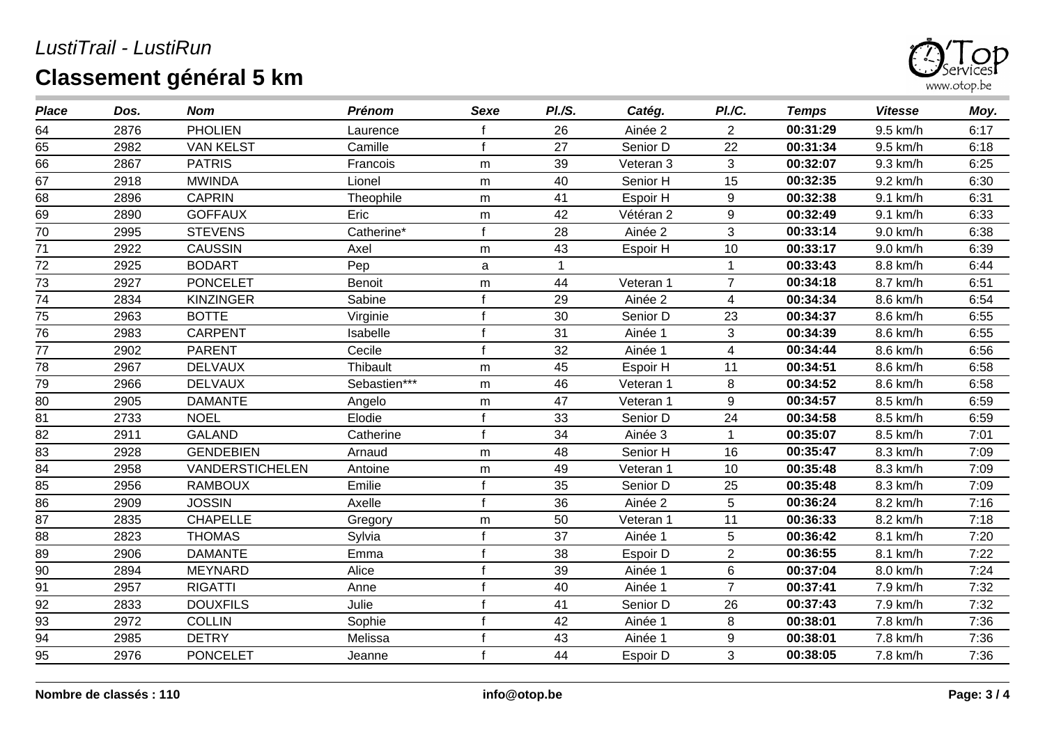

| <b>Place</b>    | Dos. | <b>Nom</b>             | <b>Prénom</b> | <b>Sexe</b>  | PI.S. | Catég.    | PI.C.                    | <b>Temps</b> | <b>Vitesse</b> | Moy. |
|-----------------|------|------------------------|---------------|--------------|-------|-----------|--------------------------|--------------|----------------|------|
| 64              | 2876 | <b>PHOLIEN</b>         | Laurence      |              | 26    | Ainée 2   | $\overline{2}$           | 00:31:29     | 9.5 km/h       | 6:17 |
| 65              | 2982 | <b>VAN KELST</b>       | Camille       | f            | 27    | Senior D  | 22                       | 00:31:34     | 9.5 km/h       | 6:18 |
| 66              | 2867 | <b>PATRIS</b>          | Francois      | m            | 39    | Veteran 3 | 3                        | 00:32:07     | 9.3 km/h       | 6:25 |
| 67              | 2918 | <b>MWINDA</b>          | Lionel        | m            | 40    | Senior H  | 15                       | 00:32:35     | 9.2 km/h       | 6:30 |
| 68              | 2896 | <b>CAPRIN</b>          | Theophile     | m            | 41    | Espoir H  | $\boldsymbol{9}$         | 00:32:38     | 9.1 km/h       | 6:31 |
| 69              | 2890 | <b>GOFFAUX</b>         | Eric          | m            | 42    | Vétéran 2 | $\boldsymbol{9}$         | 00:32:49     | 9.1 km/h       | 6:33 |
| 70              | 2995 | <b>STEVENS</b>         | Catherine*    |              | 28    | Ainée 2   | 3                        | 00:33:14     | 9.0 km/h       | 6:38 |
| 71              | 2922 | <b>CAUSSIN</b>         | Axel          | m            | 43    | Espoir H  | 10                       | 00:33:17     | 9.0 km/h       | 6:39 |
| 72              | 2925 | <b>BODART</b>          | Pep           | a            | 1     |           |                          | 00:33:43     | 8.8 km/h       | 6:44 |
| 73              | 2927 | <b>PONCELET</b>        | <b>Benoit</b> | m            | 44    | Veteran 1 | $\overline{7}$           | 00:34:18     | 8.7 km/h       | 6:51 |
| $\overline{74}$ | 2834 | <b>KINZINGER</b>       | Sabine        |              | 29    | Ainée 2   | 4                        | 00:34:34     | 8.6 km/h       | 6:54 |
| 75              | 2963 | <b>BOTTE</b>           | Virginie      | f            | 30    | Senior D  | 23                       | 00:34:37     | 8.6 km/h       | 6:55 |
| 76              | 2983 | <b>CARPENT</b>         | Isabelle      |              | 31    | Ainée 1   | 3                        | 00:34:39     | 8.6 km/h       | 6:55 |
| 77              | 2902 | <b>PARENT</b>          | Cecile        | f            | 32    | Ainée 1   | $\overline{\mathcal{A}}$ | 00:34:44     | 8.6 km/h       | 6:56 |
| 78              | 2967 | <b>DELVAUX</b>         | Thibault      | m            | 45    | Espoir H  | 11                       | 00:34:51     | 8.6 km/h       | 6:58 |
| 79              | 2966 | <b>DELVAUX</b>         | Sebastien***  | ${\sf m}$    | 46    | Veteran 1 | 8                        | 00:34:52     | 8.6 km/h       | 6:58 |
| 80              | 2905 | <b>DAMANTE</b>         | Angelo        | m            | 47    | Veteran 1 | 9                        | 00:34:57     | 8.5 km/h       | 6:59 |
| 81              | 2733 | <b>NOEL</b>            | Elodie        | f            | 33    | Senior D  | 24                       | 00:34:58     | 8.5 km/h       | 6:59 |
| 82              | 2911 | <b>GALAND</b>          | Catherine     | f            | 34    | Ainée 3   |                          | 00:35:07     | 8.5 km/h       | 7:01 |
| 83              | 2928 | <b>GENDEBIEN</b>       | Arnaud        | m            | 48    | Senior H  | 16                       | 00:35:47     | 8.3 km/h       | 7:09 |
| 84              | 2958 | <b>VANDERSTICHELEN</b> | Antoine       | m            | 49    | Veteran 1 | 10                       | 00:35:48     | 8.3 km/h       | 7:09 |
| 85              | 2956 | <b>RAMBOUX</b>         | Emilie        | f            | 35    | Senior D  | 25                       | 00:35:48     | 8.3 km/h       | 7:09 |
| 86              | 2909 | <b>JOSSIN</b>          | Axelle        | $\mathbf{f}$ | 36    | Ainée 2   | 5                        | 00:36:24     | 8.2 km/h       | 7:16 |
| 87              | 2835 | <b>CHAPELLE</b>        | Gregory       | m            | 50    | Veteran 1 | 11                       | 00:36:33     | 8.2 km/h       | 7:18 |
| 88              | 2823 | <b>THOMAS</b>          | Sylvia        | f            | 37    | Ainée 1   | 5                        | 00:36:42     | 8.1 km/h       | 7:20 |
| 89              | 2906 | <b>DAMANTE</b>         | Emma          | $\mathbf{f}$ | 38    | Espoir D  | $\overline{2}$           | 00:36:55     | 8.1 km/h       | 7:22 |
| $90\,$          | 2894 | MEYNARD                | Alice         | $\mathbf{f}$ | 39    | Ainée 1   | $\,6$                    | 00:37:04     | 8.0 km/h       | 7:24 |
| 91              | 2957 | <b>RIGATTI</b>         | Anne          | f            | 40    | Ainée 1   | $\overline{7}$           | 00:37:41     | 7.9 km/h       | 7:32 |
| 92              | 2833 | <b>DOUXFILS</b>        | Julie         | f            | 41    | Senior D  | 26                       | 00:37:43     | 7.9 km/h       | 7:32 |
| 93              | 2972 | <b>COLLIN</b>          | Sophie        | f            | 42    | Ainée 1   | 8                        | 00:38:01     | 7.8 km/h       | 7:36 |
| 94              | 2985 | <b>DETRY</b>           | Melissa       |              | 43    | Ainée 1   | 9                        | 00:38:01     | 7.8 km/h       | 7:36 |
| 95              | 2976 | <b>PONCELET</b>        | Jeanne        |              | 44    | Espoir D  | 3                        | 00:38:05     | 7.8 km/h       | 7:36 |